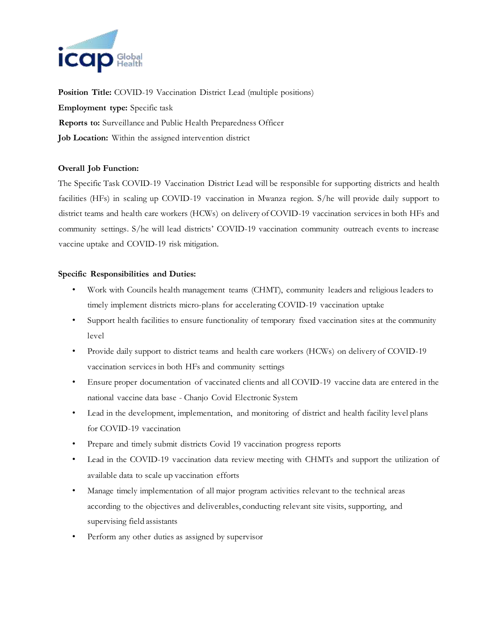

**Position Title:** COVID-19 Vaccination District Lead (multiple positions) **Employment type:** Specific task **Reports to:** Surveillance and Public Health Preparedness Officer **Job Location:** Within the assigned intervention district

## **Overall Job Function:**

The Specific Task COVID-19 Vaccination District Lead will be responsible for supporting districts and health facilities (HFs) in scaling up COVID-19 vaccination in Mwanza region. S/he will provide daily support to district teams and health care workers (HCWs) on delivery of COVID-19 vaccination services in both HFs and community settings. S/he will lead districts' COVID-19 vaccination community outreach events to increase vaccine uptake and COVID-19 risk mitigation.

## **Specific Responsibilities and Duties:**

- Work with Councils health management teams (CHMT), community leaders and religious leaders to timely implement districts micro-plans for accelerating COVID-19 vaccination uptake
- Support health facilities to ensure functionality of temporary fixed vaccination sites at the community level
- Provide daily support to district teams and health care workers (HCWs) on delivery of COVID-19 vaccination services in both HFs and community settings
- Ensure proper documentation of vaccinated clients and all COVID-19 vaccine data are entered in the national vaccine data base - Chanjo Covid Electronic System
- Lead in the development, implementation, and monitoring of district and health facility level plans for COVID-19 vaccination
- Prepare and timely submit districts Covid 19 vaccination progress reports
- Lead in the COVID-19 vaccination data review meeting with CHMTs and support the utilization of available data to scale up vaccination efforts
- Manage timely implementation of all major program activities relevant to the technical areas according to the objectives and deliverables, conducting relevant site visits, supporting, and supervising field assistants
- Perform any other duties as assigned by supervisor